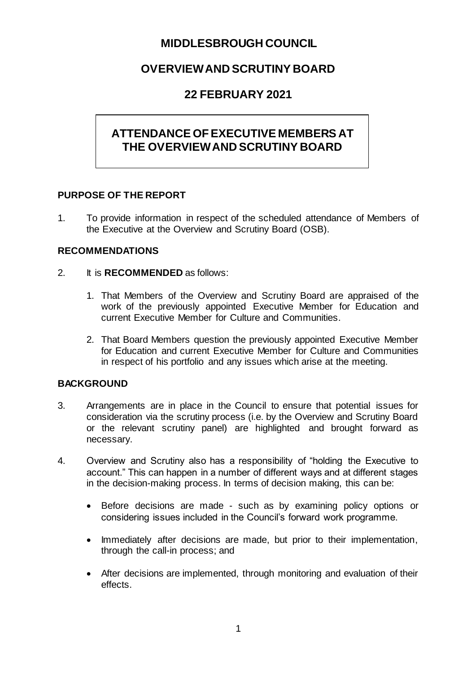# **MIDDLESBROUGH COUNCIL**

# **OVERVIEW AND SCRUTINY BOARD**

# **22 FEBRUARY 2021**

# **ATTENDANCE OF EXECUTIVE MEMBERS AT THE OVERVIEW AND SCRUTINY BOARD**

#### **PURPOSE OF THE REPORT**

1. To provide information in respect of the scheduled attendance of Members of the Executive at the Overview and Scrutiny Board (OSB).

#### **RECOMMENDATIONS**

- 2. It is **RECOMMENDED** as follows:
	- 1. That Members of the Overview and Scrutiny Board are appraised of the work of the previously appointed Executive Member for Education and current Executive Member for Culture and Communities.
	- 2. That Board Members question the previously appointed Executive Member for Education and current Executive Member for Culture and Communities in respect of his portfolio and any issues which arise at the meeting.

#### **BACKGROUND**

- 3. Arrangements are in place in the Council to ensure that potential issues for consideration via the scrutiny process (i.e. by the Overview and Scrutiny Board or the relevant scrutiny panel) are highlighted and brought forward as necessary.
- 4. Overview and Scrutiny also has a responsibility of "holding the Executive to account." This can happen in a number of different ways and at different stages in the decision-making process. In terms of decision making, this can be:
	- Before decisions are made such as by examining policy options or considering issues included in the Council's forward work programme.
	- Immediately after decisions are made, but prior to their implementation, through the call-in process; and
	- After decisions are implemented, through monitoring and evaluation of their effects.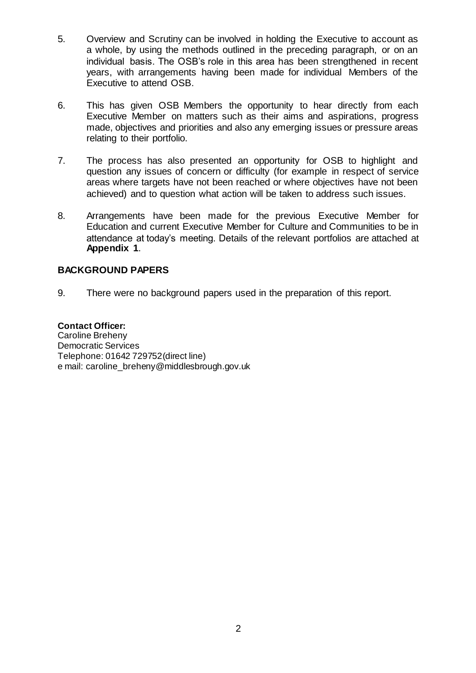- 5. Overview and Scrutiny can be involved in holding the Executive to account as a whole, by using the methods outlined in the preceding paragraph, or on an individual basis. The OSB's role in this area has been strengthened in recent years, with arrangements having been made for individual Members of the Executive to attend OSB.
- 6. This has given OSB Members the opportunity to hear directly from each Executive Member on matters such as their aims and aspirations, progress made, objectives and priorities and also any emerging issues or pressure areas relating to their portfolio.
- 7. The process has also presented an opportunity for OSB to highlight and question any issues of concern or difficulty (for example in respect of service areas where targets have not been reached or where objectives have not been achieved) and to question what action will be taken to address such issues.
- 8. Arrangements have been made for the previous Executive Member for Education and current Executive Member for Culture and Communities to be in attendance at today's meeting. Details of the relevant portfolios are attached at **Appendix 1**.

#### **BACKGROUND PAPERS**

9. There were no background papers used in the preparation of this report.

**Contact Officer:**  Caroline Breheny Democratic Services Telephone: 01642 729752(direct line) e mail: caroline\_breheny@middlesbrough.gov.uk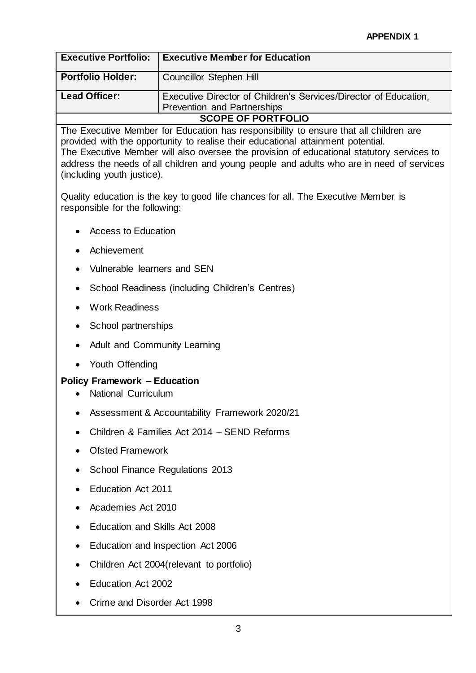| <b>Executive Portfolio:</b> | l Executive Member for Education                                 |
|-----------------------------|------------------------------------------------------------------|
| <b>Portfolio Holder:</b>    | Councillor Stephen Hill                                          |
| <b>Lead Officer:</b>        | Executive Director of Children's Services/Director of Education, |
|                             | <b>Prevention and Partnerships</b>                               |
| <b>SCOPE OF PORTFOLIO</b>   |                                                                  |

The Executive Member for Education has responsibility to ensure that all children are provided with the opportunity to realise their educational attainment potential. The Executive Member will also oversee the provision of educational statutory services to address the needs of all children and young people and adults who are in need of services (including youth justice).

Quality education is the key to good life chances for all. The Executive Member is responsible for the following:

- Access to Education
- Achievement
- Vulnerable learners and SEN
- School Readiness (including Children's Centres)
- Work Readiness
- School partnerships
- Adult and Community Learning
- Youth Offending

#### **Policy Framework – Education**

- National Curriculum
- Assessment & Accountability Framework 2020/21
- Children & Families Act 2014 SEND Reforms
- Ofsted Framework
- School Finance Regulations 2013
- Education Act 2011
- Academies Act 2010
- Education and Skills Act 2008
- Education and Inspection Act 2006
- Children Act 2004(relevant to portfolio)
- Education Act 2002
- Crime and Disorder Act 1998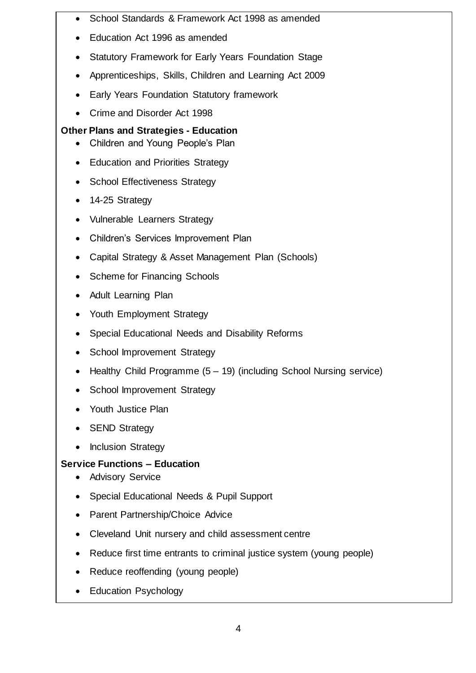- School Standards & Framework Act 1998 as amended
- Education Act 1996 as amended
- Statutory Framework for Early Years Foundation Stage
- Apprenticeships, Skills, Children and Learning Act 2009
- Early Years Foundation Statutory framework
- Crime and Disorder Act 1998

## **Other Plans and Strategies - Education**

- Children and Young People's Plan
- Education and Priorities Strategy
- School Effectiveness Strategy
- 14-25 Strategy
- Vulnerable Learners Strategy
- Children's Services Improvement Plan
- Capital Strategy & Asset Management Plan (Schools)
- Scheme for Financing Schools
- Adult Learning Plan
- Youth Employment Strategy
- Special Educational Needs and Disability Reforms
- School Improvement Strategy
- $\bullet$  Healthy Child Programme (5 19) (including School Nursing service)
- School Improvement Strategy
- Youth Justice Plan
- SEND Strategy
- Inclusion Strategy

### **Service Functions – Education**

- Advisory Service
- Special Educational Needs & Pupil Support
- Parent Partnership/Choice Advice
- Cleveland Unit nursery and child assessment centre
- Reduce first time entrants to criminal justice system (young people)
- Reduce reoffending (young people)
- Education Psychology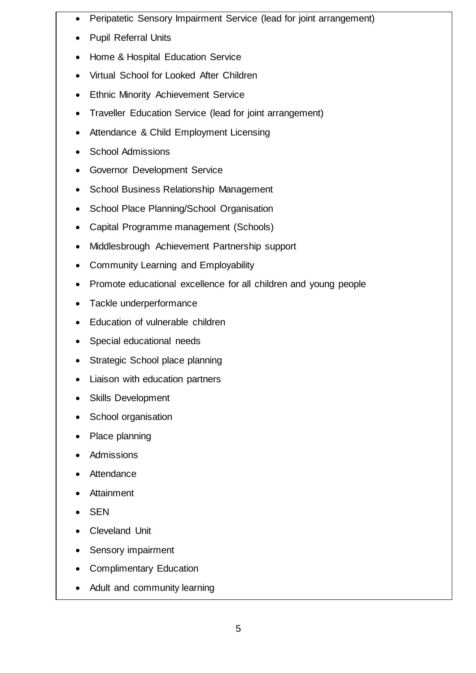- Peripatetic Sensory Impairment Service (lead for joint arrangement)
- Pupil Referral Units
- Home & Hospital Education Service
- Virtual School for Looked After Children
- Ethnic Minority Achievement Service
- Traveller Education Service (lead for joint arrangement)
- Attendance & Child Employment Licensing
- School Admissions
- Governor Development Service
- School Business Relationship Management
- School Place Planning/School Organisation
- Capital Programme management (Schools)
- Middlesbrough Achievement Partnership support
- Community Learning and Employability
- Promote educational excellence for all children and young people
- Tackle underperformance
- Education of vulnerable children
- Special educational needs
- Strategic School place planning
- Liaison with education partners
- Skills Development
- School organisation
- Place planning
- Admissions
- Attendance
- Attainment
- SEN
- Cleveland Unit
- Sensory impairment
- Complimentary Education
- Adult and community learning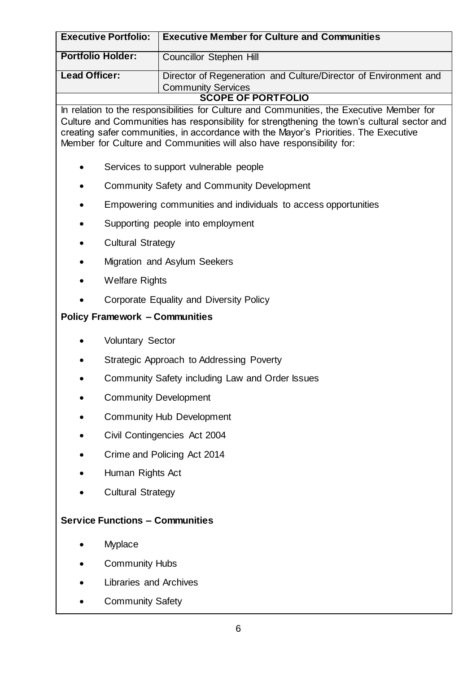| <b>Executive Portfolio:</b>                                                                                                                                                                                                                                                                                                                               | <b>Executive Member for Culture and Communities</b>              |  |
|-----------------------------------------------------------------------------------------------------------------------------------------------------------------------------------------------------------------------------------------------------------------------------------------------------------------------------------------------------------|------------------------------------------------------------------|--|
| <b>Portfolio Holder:</b>                                                                                                                                                                                                                                                                                                                                  | <b>Councillor Stephen Hill</b>                                   |  |
| <b>Lead Officer:</b>                                                                                                                                                                                                                                                                                                                                      | Director of Regeneration and Culture/Director of Environment and |  |
|                                                                                                                                                                                                                                                                                                                                                           | <b>Community Services</b><br><b>SCOPE OF PORTFOLIO</b>           |  |
| In relation to the responsibilities for Culture and Communities, the Executive Member for<br>Culture and Communities has responsibility for strengthening the town's cultural sector and<br>creating safer communities, in accordance with the Mayor's Priorities. The Executive<br>Member for Culture and Communities will also have responsibility for: |                                                                  |  |
| Services to support vulnerable people                                                                                                                                                                                                                                                                                                                     |                                                                  |  |
| <b>Community Safety and Community Development</b>                                                                                                                                                                                                                                                                                                         |                                                                  |  |
| Empowering communities and individuals to access opportunities                                                                                                                                                                                                                                                                                            |                                                                  |  |
| Supporting people into employment                                                                                                                                                                                                                                                                                                                         |                                                                  |  |
|                                                                                                                                                                                                                                                                                                                                                           | <b>Cultural Strategy</b>                                         |  |
|                                                                                                                                                                                                                                                                                                                                                           | Migration and Asylum Seekers                                     |  |
|                                                                                                                                                                                                                                                                                                                                                           | <b>Welfare Rights</b>                                            |  |
| Corporate Equality and Diversity Policy                                                                                                                                                                                                                                                                                                                   |                                                                  |  |
| <b>Policy Framework - Communities</b>                                                                                                                                                                                                                                                                                                                     |                                                                  |  |
|                                                                                                                                                                                                                                                                                                                                                           | <b>Voluntary Sector</b>                                          |  |
| Strategic Approach to Addressing Poverty                                                                                                                                                                                                                                                                                                                  |                                                                  |  |
| Community Safety including Law and Order Issues                                                                                                                                                                                                                                                                                                           |                                                                  |  |
|                                                                                                                                                                                                                                                                                                                                                           | <b>Community Development</b>                                     |  |
| <b>Community Hub Development</b>                                                                                                                                                                                                                                                                                                                          |                                                                  |  |
|                                                                                                                                                                                                                                                                                                                                                           | Civil Contingencies Act 2004                                     |  |
|                                                                                                                                                                                                                                                                                                                                                           | Crime and Policing Act 2014                                      |  |
|                                                                                                                                                                                                                                                                                                                                                           | Human Rights Act                                                 |  |
| <b>Cultural Strategy</b>                                                                                                                                                                                                                                                                                                                                  |                                                                  |  |
| <b>Service Functions - Communities</b>                                                                                                                                                                                                                                                                                                                    |                                                                  |  |
| <b>Myplace</b>                                                                                                                                                                                                                                                                                                                                            |                                                                  |  |
|                                                                                                                                                                                                                                                                                                                                                           | <b>Community Hubs</b>                                            |  |
|                                                                                                                                                                                                                                                                                                                                                           | <b>Libraries and Archives</b>                                    |  |
|                                                                                                                                                                                                                                                                                                                                                           | <b>Community Safety</b>                                          |  |